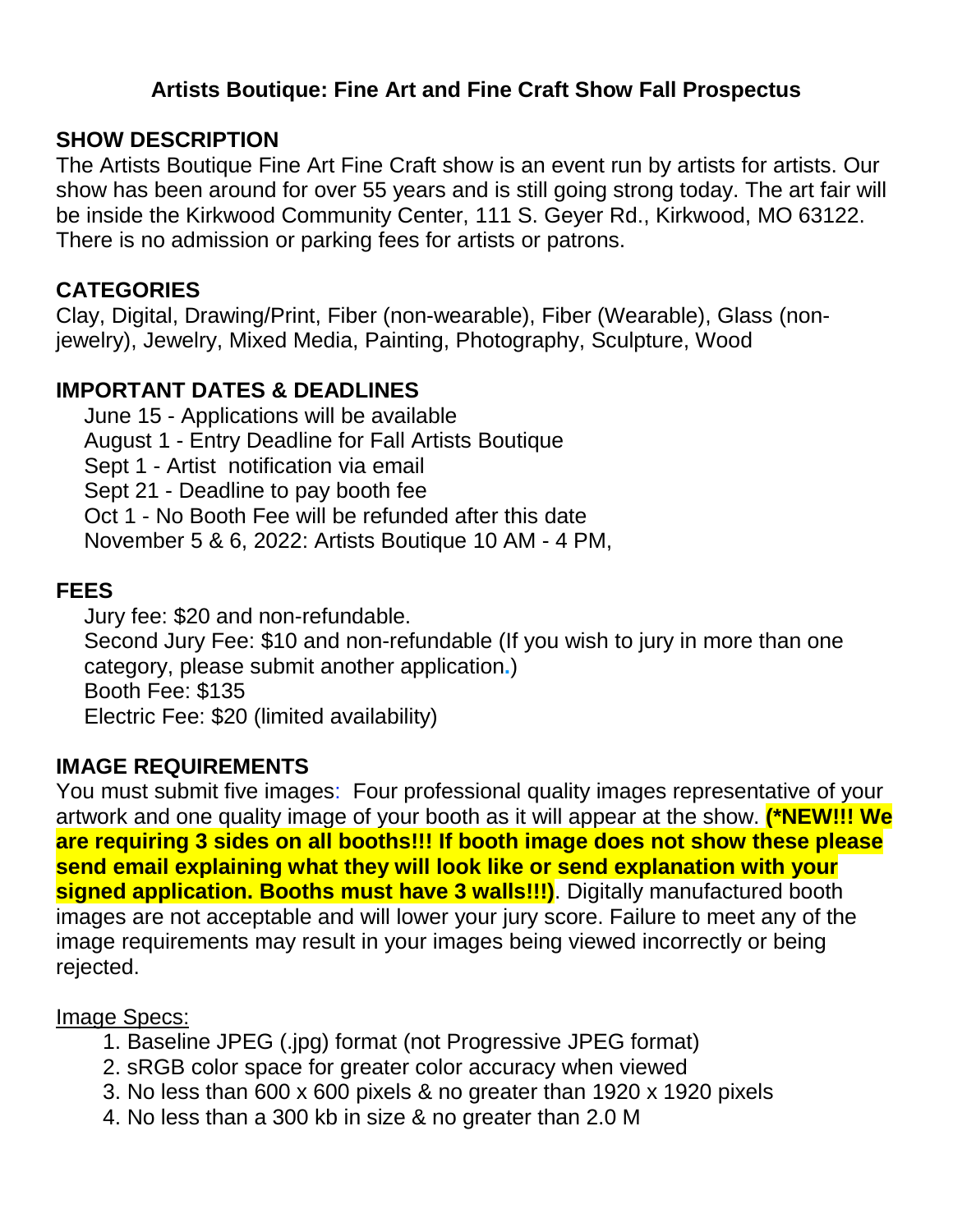## **Artists Boutique: Fine Art and Fine Craft Show Fall Prospectus**

### **SHOW DESCRIPTION**

The Artists Boutique Fine Art Fine Craft show is an event run by artists for artists. Our show has been around for over 55 years and is still going strong today. The art fair will be inside the Kirkwood Community Center, 111 S. Geyer Rd., Kirkwood, MO 63122. There is no admission or parking fees for artists or patrons.

## **CATEGORIES**

Clay, Digital, Drawing/Print, Fiber (non-wearable), Fiber (Wearable), Glass (nonjewelry), Jewelry, Mixed Media, Painting, Photography, Sculpture, Wood

# **IMPORTANT DATES & DEADLINES**

 June 15 - Applications will be available August 1 - Entry Deadline for Fall Artists Boutique Sept 1 - Artist notification via email Sept 21 - Deadline to pay booth fee Oct 1 - No Booth Fee will be refunded after this date November 5 & 6, 2022: Artists Boutique 10 AM - 4 PM,

#### **FEES**

 Jury fee: \$20 and non-refundable. Second Jury Fee: \$10 and non-refundable (If you wish to jury in more than one category, please submit another application**.**) Booth Fee: \$135 Electric Fee: \$20 (limited availability)

#### **IMAGE REQUIREMENTS**

You must submit five images: Four professional quality images representative of your artwork and one quality image of your booth as it will appear at the show. **(\*NEW!!! We are requiring 3 sides on all booths!!! If booth image does not show these please send email explaining what they will look like or send explanation with your signed application. Booths must have 3 walls!!!)**. Digitally manufactured booth images are not acceptable and will lower your jury score. Failure to meet any of the image requirements may result in your images being viewed incorrectly or being rejected.

#### Image Specs:

- 1. Baseline JPEG (.jpg) format (not Progressive JPEG format)
- 2. sRGB color space for greater color accuracy when viewed
- 3. No less than 600 x 600 pixels & no greater than 1920 x 1920 pixels
- 4. No less than a 300 kb in size & no greater than 2.0 M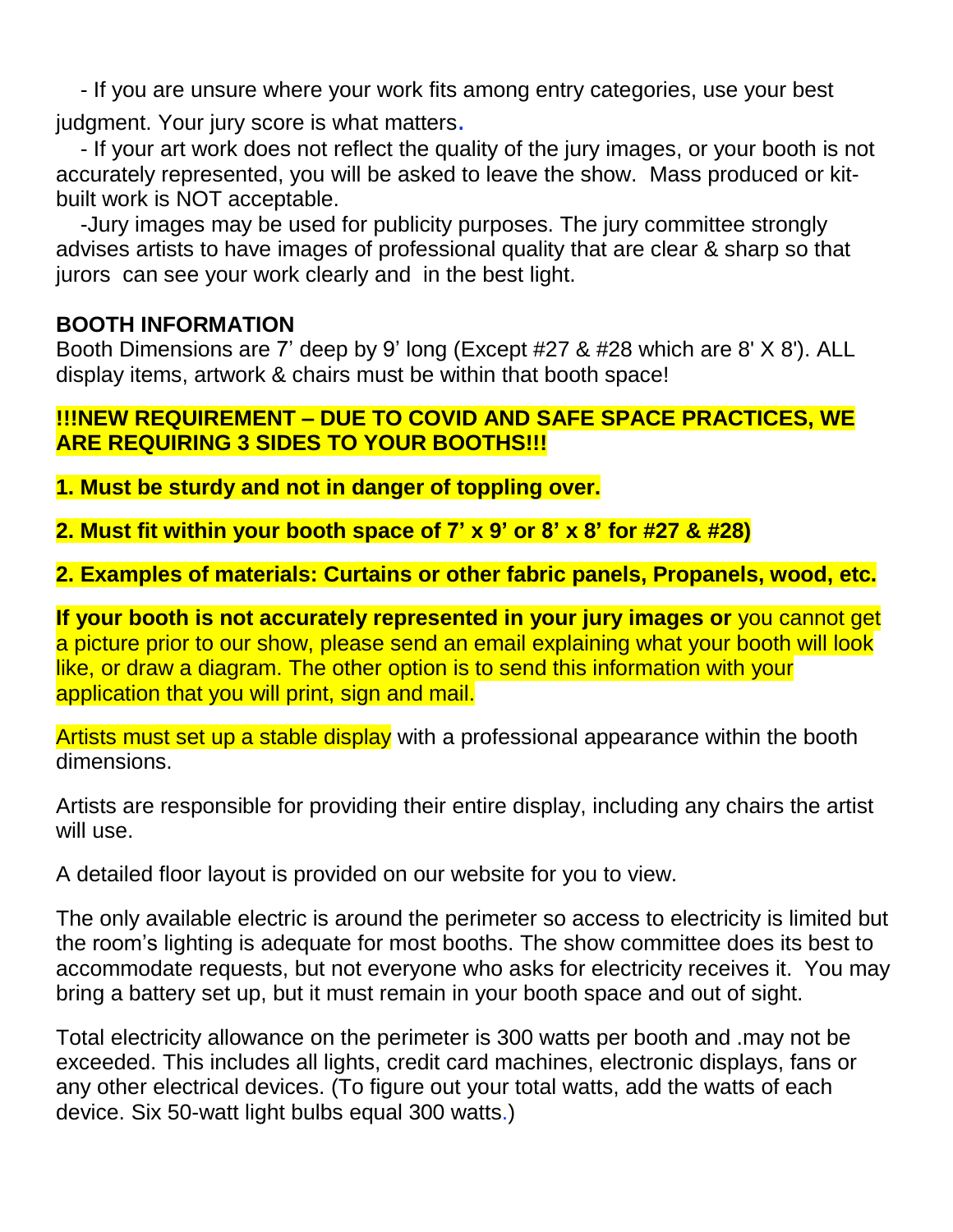- If you are unsure where your work fits among entry categories, use your best

judgment. Your jury score is what matters.

- If your art work does not reflect the quality of the jury images, or your booth is not accurately represented, you will be asked to leave the show. Mass produced or kitbuilt work is NOT acceptable.

-Jury images may be used for publicity purposes. The jury committee strongly advises artists to have images of professional quality that are clear & sharp so that jurors can see your work clearly and in the best light.

# **BOOTH INFORMATION**

Booth Dimensions are 7' deep by 9' long (Except #27 & #28 which are 8' X 8'). ALL display items, artwork & chairs must be within that booth space!

#### **!!!NEW REQUIREMENT – DUE TO COVID AND SAFE SPACE PRACTICES, WE ARE REQUIRING 3 SIDES TO YOUR BOOTHS!!!**

**1. Must be sturdy and not in danger of toppling over.**

**2. Must fit within your booth space of 7' x 9' or 8' x 8' for #27 & #28)**

**2. Examples of materials: Curtains or other fabric panels, Propanels, wood, etc.**

**If your booth is not accurately represented in your jury images or** you cannot get a picture prior to our show, please send an email explaining what your booth will look like, or draw a diagram. The other option is to send this information with your application that you will print, sign and mail.

Artists must set up a stable display with a professional appearance within the booth dimensions.

Artists are responsible for providing their entire display, including any chairs the artist will use.

A detailed floor layout is provided on our website for you to view.

The only available electric is around the perimeter so access to electricity is limited but the room's lighting is adequate for most booths. The show committee does its best to accommodate requests, but not everyone who asks for electricity receives it. You may bring a battery set up, but it must remain in your booth space and out of sight.

Total electricity allowance on the perimeter is 300 watts per booth and .may not be exceeded. This includes all lights, credit card machines, electronic displays, fans or any other electrical devices. (To figure out your total watts, add the watts of each device. Six 50-watt light bulbs equal 300 watts.)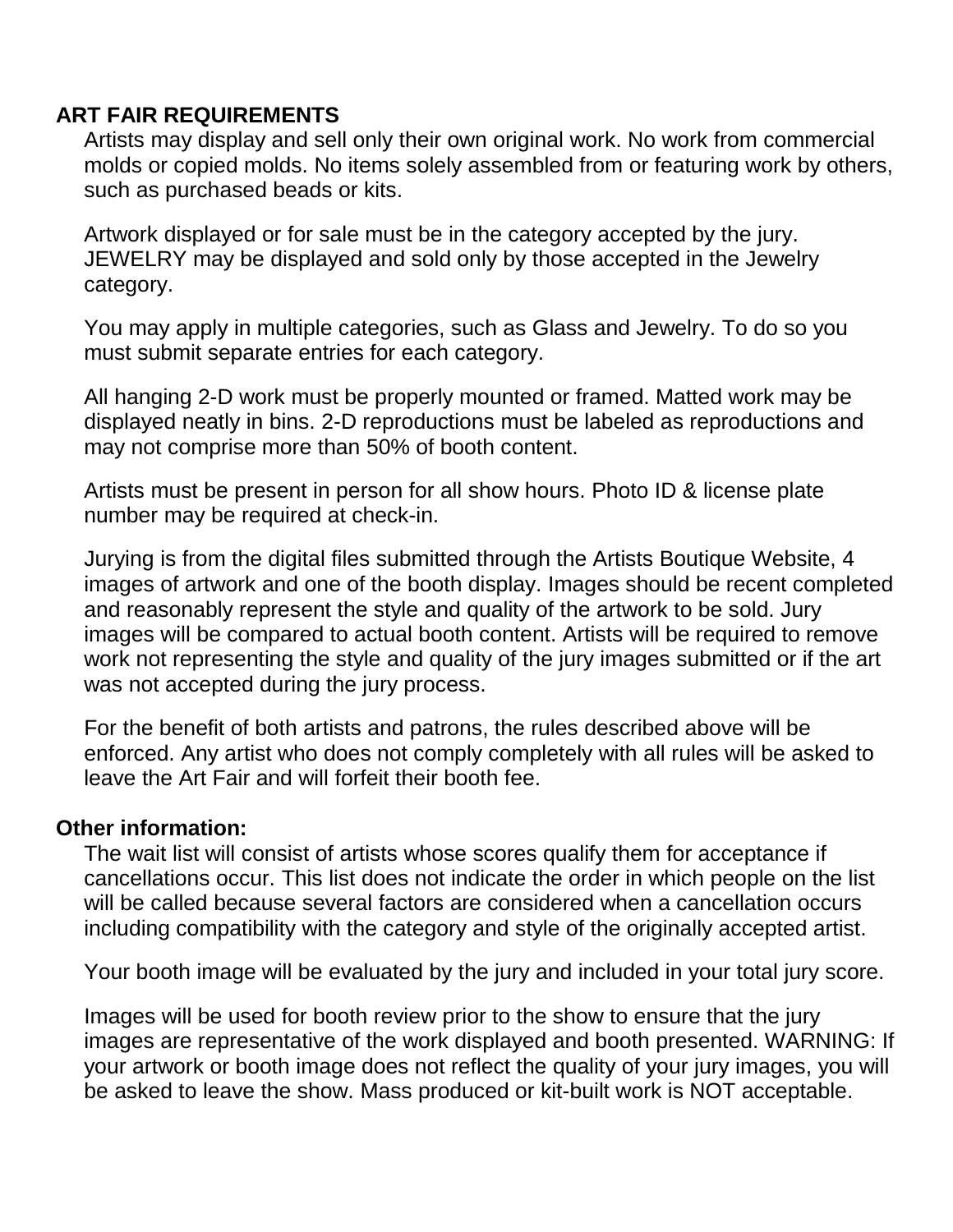## **ART FAIR REQUIREMENTS**

 Artists may display and sell only their own original work. No work from commercial molds or copied molds. No items solely assembled from or featuring work by others, such as purchased beads or kits.

 Artwork displayed or for sale must be in the category accepted by the jury. JEWELRY may be displayed and sold only by those accepted in the Jewelry category.

 You may apply in multiple categories, such as Glass and Jewelry. To do so you must submit separate entries for each category.

 All hanging 2-D work must be properly mounted or framed. Matted work may be displayed neatly in bins. 2-D reproductions must be labeled as reproductions and may not comprise more than 50% of booth content.

 Artists must be present in person for all show hours. Photo ID & license plate number may be required at check-in.

 Jurying is from the digital files submitted through the Artists Boutique Website, 4 images of artwork and one of the booth display. Images should be recent completed and reasonably represent the style and quality of the artwork to be sold. Jury images will be compared to actual booth content. Artists will be required to remove work not representing the style and quality of the jury images submitted or if the art was not accepted during the jury process.

 For the benefit of both artists and patrons, the rules described above will be enforced. Any artist who does not comply completely with all rules will be asked to leave the Art Fair and will forfeit their booth fee.

#### **Other information:**

 The wait list will consist of artists whose scores qualify them for acceptance if cancellations occur. This list does not indicate the order in which people on the list will be called because several factors are considered when a cancellation occurs including compatibility with the category and style of the originally accepted artist.

Your booth image will be evaluated by the jury and included in your total jury score.

 Images will be used for booth review prior to the show to ensure that the jury images are representative of the work displayed and booth presented. WARNING: If your artwork or booth image does not reflect the quality of your jury images, you will be asked to leave the show. Mass produced or kit-built work is NOT acceptable.